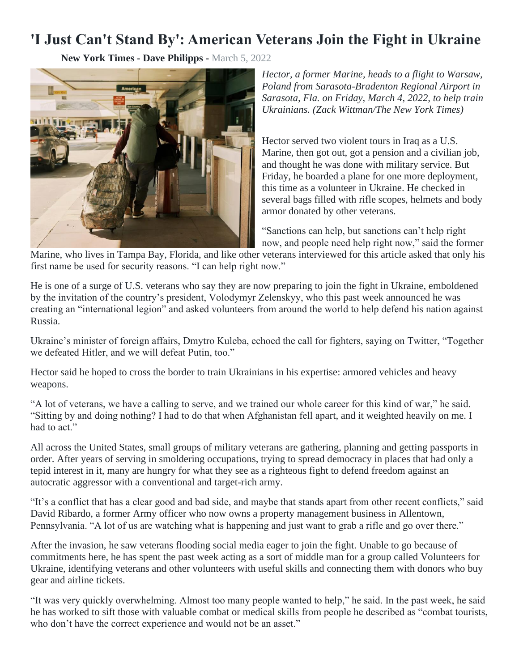## **'I Just Can't Stand By': American Veterans Join the Fight in Ukraine**

**New York Times - Dave Philipps -** March 5, 2022



*Hector, a former Marine, heads to a flight to Warsaw, Poland from Sarasota-Bradenton Regional Airport in Sarasota, Fla. on Friday, March 4, 2022, to help train Ukrainians. (Zack Wittman/The New York Times)*

Hector served two violent tours in Iraq as a U.S. Marine, then got out, got a pension and a civilian job, and thought he was done with military service. But Friday, he boarded a plane for one more deployment, this time as a volunteer in Ukraine. He checked in several bags filled with rifle scopes, helmets and body armor donated by other veterans.

"Sanctions can help, but sanctions can't help right now, and people need help right now," said the former

Marine, who lives in Tampa Bay, Florida, and like other veterans interviewed for this article asked that only his first name be used for security reasons. "I can help right now."

He is one of a surge of U.S. veterans who say they are now preparing to join the fight in Ukraine, emboldened by the invitation of the country's president, Volodymyr Zelenskyy, who this past week announced he was creating an "international legion" and asked volunteers from around the world to help defend his nation against Russia.

Ukraine's minister of foreign affairs, Dmytro Kuleba, echoed the call for fighters, saying on Twitter, "Together we defeated Hitler, and we will defeat Putin, too."

Hector said he hoped to cross the border to train Ukrainians in his expertise: armored vehicles and heavy weapons.

"A lot of veterans, we have a calling to serve, and we trained our whole career for this kind of war," he said. "Sitting by and doing nothing? I had to do that when Afghanistan fell apart, and it weighted heavily on me. I had to act."

All across the United States, small groups of military veterans are gathering, planning and getting passports in order. After years of serving in smoldering occupations, trying to spread democracy in places that had only a tepid interest in it, many are hungry for what they see as a righteous fight to defend freedom against an autocratic aggressor with a conventional and target-rich army.

"It's a conflict that has a clear good and bad side, and maybe that stands apart from other recent conflicts," said David Ribardo, a former Army officer who now owns a property management business in Allentown, Pennsylvania. "A lot of us are watching what is happening and just want to grab a rifle and go over there."

After the invasion, he saw veterans flooding social media eager to join the fight. Unable to go because of commitments here, he has spent the past week acting as a sort of middle man for a group called Volunteers for Ukraine, identifying veterans and other volunteers with useful skills and connecting them with donors who buy gear and airline tickets.

"It was very quickly overwhelming. Almost too many people wanted to help," he said. In the past week, he said he has worked to sift those with valuable combat or medical skills from people he described as "combat tourists, who don't have the correct experience and would not be an asset."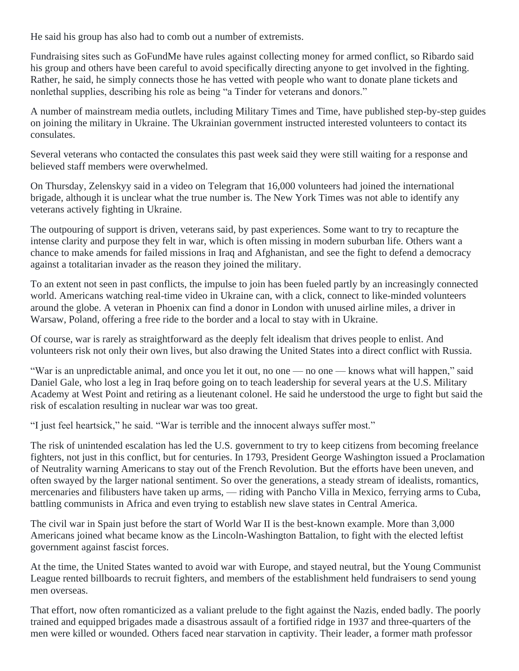He said his group has also had to comb out a number of extremists.

Fundraising sites such as GoFundMe have rules against collecting money for armed conflict, so Ribardo said his group and others have been careful to avoid specifically directing anyone to get involved in the fighting. Rather, he said, he simply connects those he has vetted with people who want to donate plane tickets and nonlethal supplies, describing his role as being "a Tinder for veterans and donors."

A number of mainstream media outlets, including Military Times and Time, have published step-by-step guides on joining the military in Ukraine. The Ukrainian government instructed interested volunteers to contact its consulates.

Several veterans who contacted the consulates this past week said they were still waiting for a response and believed staff members were overwhelmed.

On Thursday, Zelenskyy said in a video on Telegram that 16,000 volunteers had joined the international brigade, although it is unclear what the true number is. The New York Times was not able to identify any veterans actively fighting in Ukraine.

The outpouring of support is driven, veterans said, by past experiences. Some want to try to recapture the intense clarity and purpose they felt in war, which is often missing in modern suburban life. Others want a chance to make amends for failed missions in Iraq and Afghanistan, and see the fight to defend a democracy against a totalitarian invader as the reason they joined the military.

To an extent not seen in past conflicts, the impulse to join has been fueled partly by an increasingly connected world. Americans watching real-time video in Ukraine can, with a click, connect to like-minded volunteers around the globe. A veteran in Phoenix can find a donor in London with unused airline miles, a driver in Warsaw, Poland, offering a free ride to the border and a local to stay with in Ukraine.

Of course, war is rarely as straightforward as the deeply felt idealism that drives people to enlist. And volunteers risk not only their own lives, but also drawing the United States into a direct conflict with Russia.

"War is an unpredictable animal, and once you let it out, no one — no one — knows what will happen," said Daniel Gale, who lost a leg in Iraq before going on to teach leadership for several years at the U.S. Military Academy at West Point and retiring as a lieutenant colonel. He said he understood the urge to fight but said the risk of escalation resulting in nuclear war was too great.

"I just feel heartsick," he said. "War is terrible and the innocent always suffer most."

The risk of unintended escalation has led the U.S. government to try to keep citizens from becoming freelance fighters, not just in this conflict, but for centuries. In 1793, President George Washington issued a Proclamation of Neutrality warning Americans to stay out of the French Revolution. But the efforts have been uneven, and often swayed by the larger national sentiment. So over the generations, a steady stream of idealists, romantics, mercenaries and filibusters have taken up arms, — riding with Pancho Villa in Mexico, ferrying arms to Cuba, battling communists in Africa and even trying to establish new slave states in Central America.

The civil war in Spain just before the start of World War II is the best-known example. More than 3,000 Americans joined what became know as the Lincoln-Washington Battalion, to fight with the elected leftist government against fascist forces.

At the time, the United States wanted to avoid war with Europe, and stayed neutral, but the Young Communist League rented billboards to recruit fighters, and members of the establishment held fundraisers to send young men overseas.

That effort, now often romanticized as a valiant prelude to the fight against the Nazis, ended badly. The poorly trained and equipped brigades made a disastrous assault of a fortified ridge in 1937 and three-quarters of the men were killed or wounded. Others faced near starvation in captivity. Their leader, a former math professor